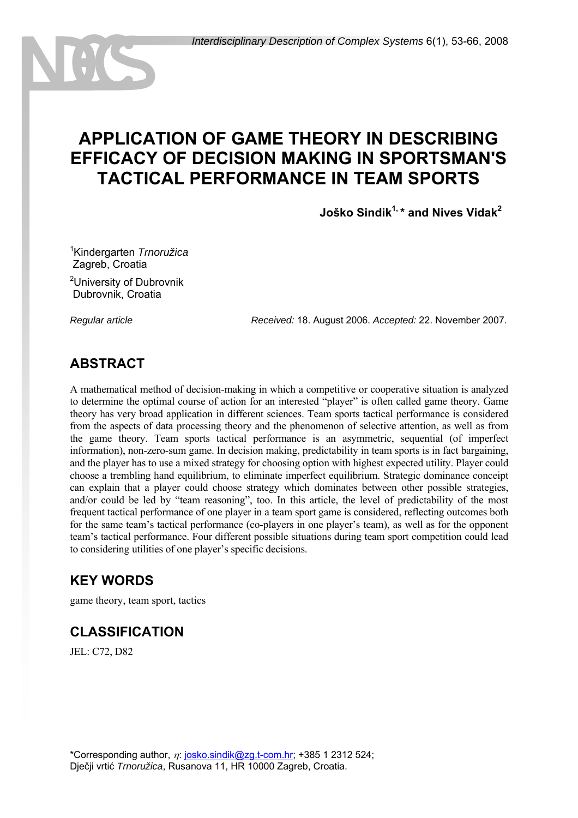# **APPLICATION OF GAME THEORY IN DESCRIBING EFFICACY OF DECISION MAKING IN SPORTSMAN'S TACTICAL PERFORMANCE IN TEAM SPORTS**

**Joško Sindik1, \* and Nives Vidak2**

1 Kindergarten *Trnoružica* Zagreb, Croatia

<sup>2</sup>University of Dubrovnik Dubrovnik, Croatia

*Regular article Received:* 18. August 2006. *Accepted:* 22. November 2007.

### **ABSTRACT**

A mathematical method of decision-making in which a competitive or cooperative situation is analyzed to determine the optimal course of action for an interested "player" is often called game theory. Game theory has very broad application in different sciences. Team sports tactical performance is considered from the aspects of data processing theory and the phenomenon of selective attention, as well as from the game theory. Team sports tactical performance is an asymmetric, sequential (of imperfect information), non-zero-sum game. In decision making, predictability in team sports is in fact bargaining, and the player has to use a mixed strategy for choosing option with highest expected utility. Player could choose a trembling hand equilibrium, to eliminate imperfect equilibrium. Strategic dominance conceipt can explain that a player could choose strategy which dominates between other possible strategies, and/or could be led by "team reasoning", too. In this article, the level of predictability of the most frequent tactical performance of one player in a team sport game is considered, reflecting outcomes both for the same team's tactical performance (co-players in one player's team), as well as for the opponent team's tactical performance. Four different possible situations during team sport competition could lead to considering utilities of one player's specific decisions.

### **KEY WORDS**

game theory, team sport, tactics

# **CLASSIFICATION**

JEL: C72, D82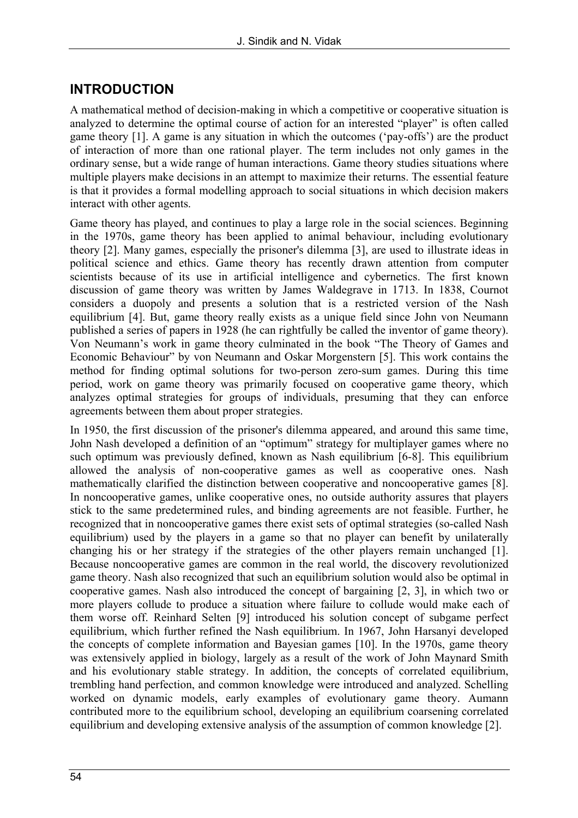# **INTRODUCTION**

A mathematical method of decision-making in which a competitive or cooperative situation is analyzed to determine the optimal course of action for an interested "player" is often called game theory [1]. A game is any situation in which the outcomes ('pay-offs') are the product of interaction of more than one rational player. The term includes not only games in the ordinary sense, but a wide range of human interactions. Game theory studies situations where multiple players make decisions in an attempt to maximize their returns. The essential feature is that it provides a formal modelling approach to social situations in which decision makers interact with other agents.

Game theory has played, and continues to play a large role in the social sciences. Beginning in the 1970s, game theory has been applied to animal behaviour, including evolutionary theory [2]. Many games, especially the prisoner's dilemma [3], are used to illustrate ideas in political science and ethics. Game theory has recently drawn attention from computer scientists because of its use in artificial intelligence and cybernetics. The first known discussion of game theory was written by James Waldegrave in 1713. In 1838, Cournot considers a duopoly and presents a solution that is a restricted version of the Nash equilibrium [4]. But, game theory really exists as a unique field since John von Neumann published a series of papers in 1928 (he can rightfully be called the inventor of game theory). Von Neumann's work in game theory culminated in the book "The Theory of Games and Economic Behaviour" by von Neumann and Oskar Morgenstern [5]. This work contains the method for finding optimal solutions for two-person zero-sum games. During this time period, work on game theory was primarily focused on cooperative game theory, which analyzes optimal strategies for groups of individuals, presuming that they can enforce agreements between them about proper strategies.

In 1950, the first discussion of the prisoner's dilemma appeared, and around this same time, John Nash developed a definition of an "optimum" strategy for multiplayer games where no such optimum was previously defined, known as Nash equilibrium [6-8]. This equilibrium allowed the analysis of non-cooperative games as well as cooperative ones. Nash mathematically clarified the distinction between cooperative and noncooperative games [8]. In noncooperative games, unlike cooperative ones, no outside authority assures that players stick to the same predetermined rules, and binding agreements are not feasible. Further, he recognized that in noncooperative games there exist sets of optimal strategies (so-called Nash equilibrium) used by the players in a game so that no player can benefit by unilaterally changing his or her strategy if the strategies of the other players remain unchanged [1]. Because noncooperative games are common in the real world, the discovery revolutionized game theory. Nash also recognized that such an equilibrium solution would also be optimal in cooperative games. Nash also introduced the concept of bargaining [2, 3], in which two or more players collude to produce a situation where failure to collude would make each of them worse off. Reinhard Selten [9] introduced his solution concept of subgame perfect equilibrium, which further refined the Nash equilibrium. In 1967, John Harsanyi developed the concepts of complete information and Bayesian games [10]. In the 1970s, game theory was extensively applied in biology, largely as a result of the work of John Maynard Smith and his evolutionary stable strategy. In addition, the concepts of correlated equilibrium, trembling hand perfection, and common knowledge were introduced and analyzed. Schelling worked on dynamic models, early examples of evolutionary game theory. Aumann contributed more to the equilibrium school, developing an equilibrium coarsening correlated equilibrium and developing extensive analysis of the assumption of common knowledge [2].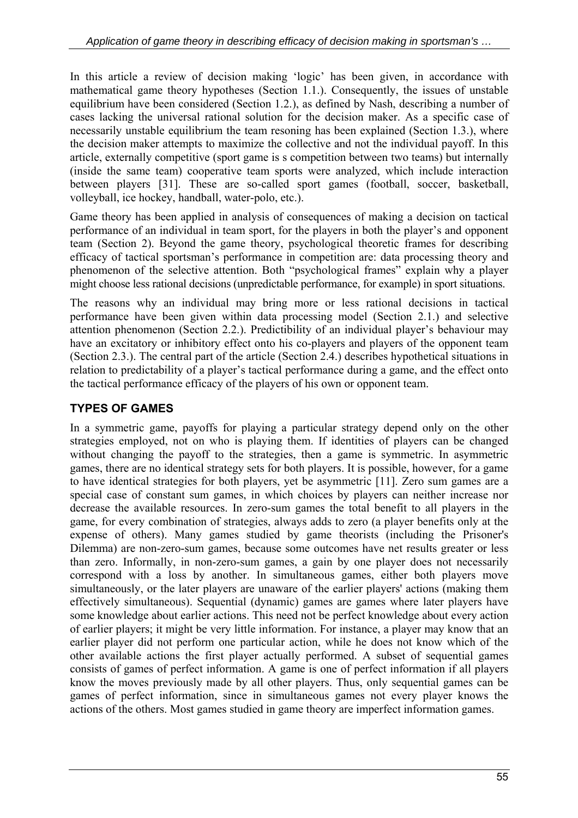In this article a review of decision making 'logic' has been given, in accordance with mathematical game theory hypotheses (Section 1.1.). Consequently, the issues of unstable equilibrium have been considered (Section 1.2.), as defined by Nash, describing a number of cases lacking the universal rational solution for the decision maker. As a specific case of necessarily unstable equilibrium the team resoning has been explained (Section 1.3.), where the decision maker attempts to maximize the collective and not the individual payoff. In this article, externally competitive (sport game is s competition between two teams) but internally (inside the same team) cooperative team sports were analyzed, which include interaction between players [31]. These are so-called sport games (football, soccer, basketball, volleyball, ice hockey, handball, water-polo, etc.).

Game theory has been applied in analysis of consequences of making a decision on tactical performance of an individual in team sport, for the players in both the player's and opponent team (Section 2). Beyond the game theory, psychological theoretic frames for describing efficacy of tactical sportsman's performance in competition are: data processing theory and phenomenon of the selective attention. Both "psychological frames" explain why a player might choose less rational decisions (unpredictable performance, for example) in sport situations.

The reasons why an individual may bring more or less rational decisions in tactical performance have been given within data processing model (Section 2.1.) and selective attention phenomenon (Section 2.2.). Predictibility of an individual player's behaviour may have an excitatory or inhibitory effect onto his co-players and players of the opponent team (Section 2.3.). The central part of the article (Section 2.4.) describes hypothetical situations in relation to predictability of a player's tactical performance during a game, and the effect onto the tactical performance efficacy of the players of his own or opponent team.

### **TYPES OF GAMES**

In a symmetric game, payoffs for playing a particular strategy depend only on the other strategies employed, not on who is playing them. If identities of players can be changed without changing the payoff to the strategies, then a game is symmetric. In asymmetric games, there are no identical strategy sets for both players. It is possible, however, for a game to have identical strategies for both players, yet be asymmetric [11]. Zero sum games are a special case of constant sum games, in which choices by players can neither increase nor decrease the available resources. In zero-sum games the total benefit to all players in the game, for every combination of strategies, always adds to zero (a player benefits only at the expense of others). Many games studied by game theorists (including the Prisoner's Dilemma) are non-zero-sum games, because some outcomes have net results greater or less than zero. Informally, in non-zero-sum games, a gain by one player does not necessarily correspond with a loss by another. In simultaneous games, either both players move simultaneously, or the later players are unaware of the earlier players' actions (making them effectively simultaneous). Sequential (dynamic) games are games where later players have some knowledge about earlier actions. This need not be perfect knowledge about every action of earlier players; it might be very little information. For instance, a player may know that an earlier player did not perform one particular action, while he does not know which of the other available actions the first player actually performed. A subset of sequential games consists of games of perfect information. A game is one of perfect information if all players know the moves previously made by all other players. Thus, only sequential games can be games of perfect information, since in simultaneous games not every player knows the actions of the others. Most games studied in game theory are imperfect information games.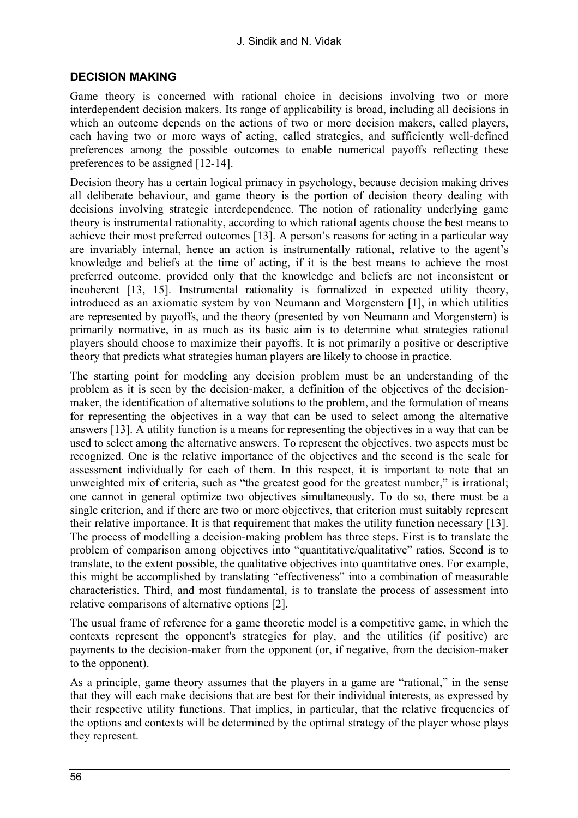#### **DECISION MAKING**

Game theory is concerned with rational choice in decisions involving two or more interdependent decision makers. Its range of applicability is broad, including all decisions in which an outcome depends on the actions of two or more decision makers, called players, each having two or more ways of acting, called strategies, and sufficiently well-defined preferences among the possible outcomes to enable numerical payoffs reflecting these preferences to be assigned [12-14].

Decision theory has a certain logical primacy in psychology, because decision making drives all deliberate behaviour, and game theory is the portion of decision theory dealing with decisions involving strategic interdependence. The notion of rationality underlying game theory is instrumental rationality, according to which rational agents choose the best means to achieve their most preferred outcomes [13]. A person's reasons for acting in a particular way are invariably internal, hence an action is instrumentally rational, relative to the agent's knowledge and beliefs at the time of acting, if it is the best means to achieve the most preferred outcome, provided only that the knowledge and beliefs are not inconsistent or incoherent [13, 15]. Instrumental rationality is formalized in expected utility theory, introduced as an axiomatic system by von Neumann and Morgenstern [1], in which utilities are represented by payoffs, and the theory (presented by von Neumann and Morgenstern) is primarily normative, in as much as its basic aim is to determine what strategies rational players should choose to maximize their payoffs. It is not primarily a positive or descriptive theory that predicts what strategies human players are likely to choose in practice.

The starting point for modeling any decision problem must be an understanding of the problem as it is seen by the decision-maker, a definition of the objectives of the decisionmaker, the identification of alternative solutions to the problem, and the formulation of means for representing the objectives in a way that can be used to select among the alternative answers [13]. A utility function is a means for representing the objectives in a way that can be used to select among the alternative answers. To represent the objectives, two aspects must be recognized. One is the relative importance of the objectives and the second is the scale for assessment individually for each of them. In this respect, it is important to note that an unweighted mix of criteria, such as "the greatest good for the greatest number," is irrational; one cannot in general optimize two objectives simultaneously. To do so, there must be a single criterion, and if there are two or more objectives, that criterion must suitably represent their relative importance. It is that requirement that makes the utility function necessary [13]. The process of modelling a decision-making problem has three steps. First is to translate the problem of comparison among objectives into "quantitative/qualitative" ratios. Second is to translate, to the extent possible, the qualitative objectives into quantitative ones. For example, this might be accomplished by translating "effectiveness" into a combination of measurable characteristics. Third, and most fundamental, is to translate the process of assessment into relative comparisons of alternative options [2].

The usual frame of reference for a game theoretic model is a competitive game, in which the contexts represent the opponent's strategies for play, and the utilities (if positive) are payments to the decision-maker from the opponent (or, if negative, from the decision-maker to the opponent).

As a principle, game theory assumes that the players in a game are "rational," in the sense that they will each make decisions that are best for their individual interests, as expressed by their respective utility functions. That implies, in particular, that the relative frequencies of the options and contexts will be determined by the optimal strategy of the player whose plays they represent.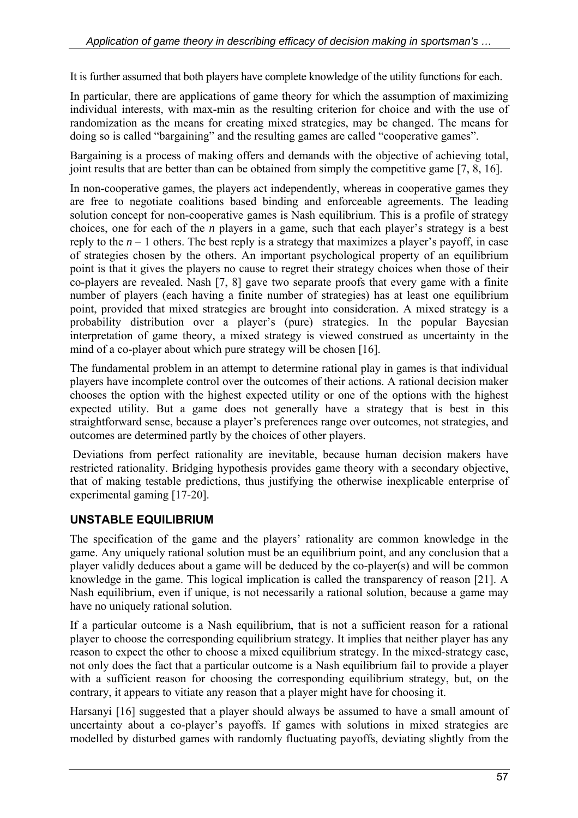It is further assumed that both players have complete knowledge of the utility functions for each.

In particular, there are applications of game theory for which the assumption of maximizing individual interests, with max-min as the resulting criterion for choice and with the use of randomization as the means for creating mixed strategies, may be changed. The means for doing so is called "bargaining" and the resulting games are called "cooperative games".

Bargaining is a process of making offers and demands with the objective of achieving total, joint results that are better than can be obtained from simply the competitive game [7, 8, 16].

In non-cooperative games, the players act independently, whereas in cooperative games they are free to negotiate coalitions based binding and enforceable agreements. The leading solution concept for non-cooperative games is Nash equilibrium. This is a profile of strategy choices, one for each of the *n* players in a game, such that each player's strategy is a best reply to the  $n-1$  others. The best reply is a strategy that maximizes a player's payoff, in case of strategies chosen by the others. An important psychological property of an equilibrium point is that it gives the players no cause to regret their strategy choices when those of their co-players are revealed. Nash [7, 8] gave two separate proofs that every game with a finite number of players (each having a finite number of strategies) has at least one equilibrium point, provided that mixed strategies are brought into consideration. A mixed strategy is a probability distribution over a player's (pure) strategies. In the popular Bayesian interpretation of game theory, a mixed strategy is viewed construed as uncertainty in the mind of a co-player about which pure strategy will be chosen [16].

The fundamental problem in an attempt to determine rational play in games is that individual players have incomplete control over the outcomes of their actions. A rational decision maker chooses the option with the highest expected utility or one of the options with the highest expected utility. But a game does not generally have a strategy that is best in this straightforward sense, because a player's preferences range over outcomes, not strategies, and outcomes are determined partly by the choices of other players.

 Deviations from perfect rationality are inevitable, because human decision makers have restricted rationality. Bridging hypothesis provides game theory with a secondary objective, that of making testable predictions, thus justifying the otherwise inexplicable enterprise of experimental gaming [17-20].

### **UNSTABLE EQUILIBRIUM**

The specification of the game and the players' rationality are common knowledge in the game. Any uniquely rational solution must be an equilibrium point, and any conclusion that a player validly deduces about a game will be deduced by the co-player(s) and will be common knowledge in the game. This logical implication is called the transparency of reason [21]. A Nash equilibrium, even if unique, is not necessarily a rational solution, because a game may have no uniquely rational solution.

If a particular outcome is a Nash equilibrium, that is not a sufficient reason for a rational player to choose the corresponding equilibrium strategy. It implies that neither player has any reason to expect the other to choose a mixed equilibrium strategy. In the mixed-strategy case, not only does the fact that a particular outcome is a Nash equilibrium fail to provide a player with a sufficient reason for choosing the corresponding equilibrium strategy, but, on the contrary, it appears to vitiate any reason that a player might have for choosing it.

Harsanyi [16] suggested that a player should always be assumed to have a small amount of uncertainty about a co-player's payoffs. If games with solutions in mixed strategies are modelled by disturbed games with randomly fluctuating payoffs, deviating slightly from the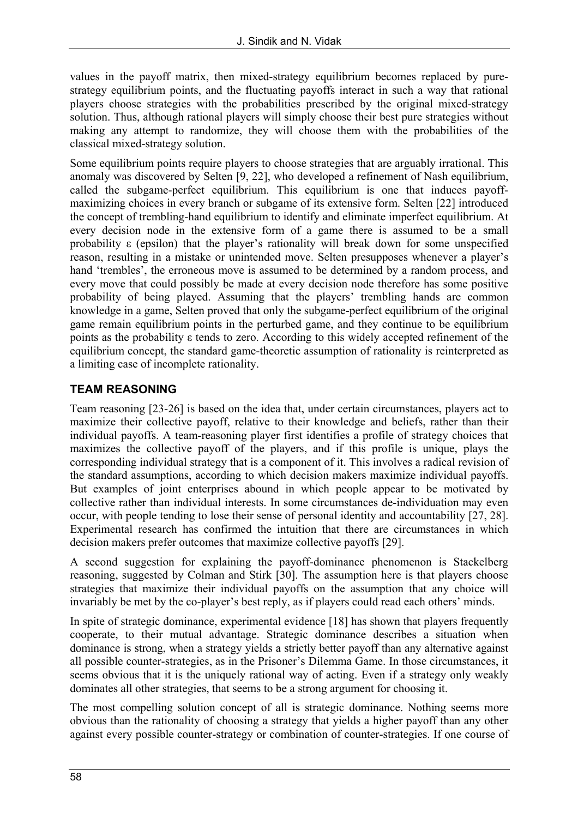values in the payoff matrix, then mixed-strategy equilibrium becomes replaced by purestrategy equilibrium points, and the fluctuating payoffs interact in such a way that rational players choose strategies with the probabilities prescribed by the original mixed-strategy solution. Thus, although rational players will simply choose their best pure strategies without making any attempt to randomize, they will choose them with the probabilities of the classical mixed-strategy solution.

Some equilibrium points require players to choose strategies that are arguably irrational. This anomaly was discovered by Selten [9, 22], who developed a refinement of Nash equilibrium, called the subgame-perfect equilibrium. This equilibrium is one that induces payoffmaximizing choices in every branch or subgame of its extensive form. Selten [22] introduced the concept of trembling-hand equilibrium to identify and eliminate imperfect equilibrium. At every decision node in the extensive form of a game there is assumed to be a small probability ε (epsilon) that the player's rationality will break down for some unspecified reason, resulting in a mistake or unintended move. Selten presupposes whenever a player's hand 'trembles', the erroneous move is assumed to be determined by a random process, and every move that could possibly be made at every decision node therefore has some positive probability of being played. Assuming that the players' trembling hands are common knowledge in a game, Selten proved that only the subgame-perfect equilibrium of the original game remain equilibrium points in the perturbed game, and they continue to be equilibrium points as the probability ε tends to zero. According to this widely accepted refinement of the equilibrium concept, the standard game-theoretic assumption of rationality is reinterpreted as a limiting case of incomplete rationality.

### **TEAM REASONING**

Team reasoning [23-26] is based on the idea that, under certain circumstances, players act to maximize their collective payoff, relative to their knowledge and beliefs, rather than their individual payoffs. A team-reasoning player first identifies a profile of strategy choices that maximizes the collective payoff of the players, and if this profile is unique, plays the corresponding individual strategy that is a component of it. This involves a radical revision of the standard assumptions, according to which decision makers maximize individual payoffs. But examples of joint enterprises abound in which people appear to be motivated by collective rather than individual interests. In some circumstances de-individuation may even occur, with people tending to lose their sense of personal identity and accountability [27, 28]. Experimental research has confirmed the intuition that there are circumstances in which decision makers prefer outcomes that maximize collective payoffs [29].

A second suggestion for explaining the payoff-dominance phenomenon is Stackelberg reasoning, suggested by Colman and Stirk [30]. The assumption here is that players choose strategies that maximize their individual payoffs on the assumption that any choice will invariably be met by the co-player's best reply, as if players could read each others' minds.

In spite of strategic dominance, experimental evidence [18] has shown that players frequently cooperate, to their mutual advantage. Strategic dominance describes a situation when dominance is strong, when a strategy yields a strictly better payoff than any alternative against all possible counter-strategies, as in the Prisoner's Dilemma Game. In those circumstances, it seems obvious that it is the uniquely rational way of acting. Even if a strategy only weakly dominates all other strategies, that seems to be a strong argument for choosing it.

The most compelling solution concept of all is strategic dominance. Nothing seems more obvious than the rationality of choosing a strategy that yields a higher payoff than any other against every possible counter-strategy or combination of counter-strategies. If one course of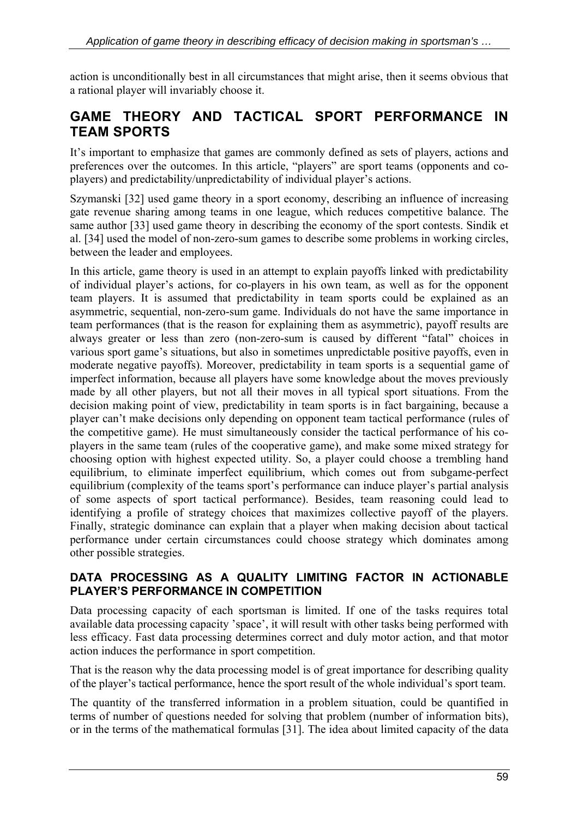action is unconditionally best in all circumstances that might arise, then it seems obvious that a rational player will invariably choose it.

# **GAME THEORY AND TACTICAL SPORT PERFORMANCE IN TEAM SPORTS**

It's important to emphasize that games are commonly defined as sets of players, actions and preferences over the outcomes. In this article, "players" are sport teams (opponents and coplayers) and predictability/unpredictability of individual player's actions.

Szymanski [32] used game theory in a sport economy, describing an influence of increasing gate revenue sharing among teams in one league, which reduces competitive balance. The same author [33] used game theory in describing the economy of the sport contests. Sindik et al. [34] used the model of non-zero-sum games to describe some problems in working circles, between the leader and employees.

In this article, game theory is used in an attempt to explain payoffs linked with predictability of individual player's actions, for co-players in his own team, as well as for the opponent team players. It is assumed that predictability in team sports could be explained as an asymmetric, sequential, non-zero-sum game. Individuals do not have the same importance in team performances (that is the reason for explaining them as asymmetric), payoff results are always greater or less than zero (non-zero-sum is caused by different "fatal" choices in various sport game's situations, but also in sometimes unpredictable positive payoffs, even in moderate negative payoffs). Moreover, predictability in team sports is a sequential game of imperfect information, because all players have some knowledge about the moves previously made by all other players, but not all their moves in all typical sport situations. From the decision making point of view, predictability in team sports is in fact bargaining, because a player can't make decisions only depending on opponent team tactical performance (rules of the competitive game). He must simultaneously consider the tactical performance of his coplayers in the same team (rules of the cooperative game), and make some mixed strategy for choosing option with highest expected utility. So, a player could choose a trembling hand equilibrium, to eliminate imperfect equilibrium, which comes out from subgame-perfect equilibrium (complexity of the teams sport's performance can induce player's partial analysis of some aspects of sport tactical performance). Besides, team reasoning could lead to identifying a profile of strategy choices that maximizes collective payoff of the players. Finally, strategic dominance can explain that a player when making decision about tactical performance under certain circumstances could choose strategy which dominates among other possible strategies.

#### **DATA PROCESSING AS A QUALITY LIMITING FACTOR IN ACTIONABLE PLAYER'S PERFORMANCE IN COMPETITION**

Data processing capacity of each sportsman is limited. If one of the tasks requires total available data processing capacity 'space', it will result with other tasks being performed with less efficacy. Fast data processing determines correct and duly motor action, and that motor action induces the performance in sport competition.

That is the reason why the data processing model is of great importance for describing quality of the player's tactical performance, hence the sport result of the whole individual's sport team.

The quantity of the transferred information in a problem situation, could be quantified in terms of number of questions needed for solving that problem (number of information bits), or in the terms of the mathematical formulas [31]. The idea about limited capacity of the data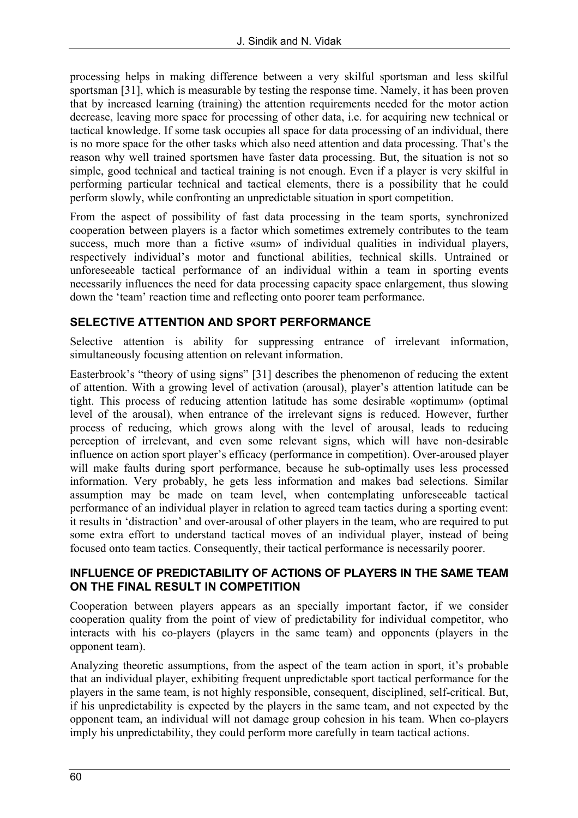processing helps in making difference between a very skilful sportsman and less skilful sportsman [31], which is measurable by testing the response time. Namely, it has been proven that by increased learning (training) the attention requirements needed for the motor action decrease, leaving more space for processing of other data, i.e. for acquiring new technical or tactical knowledge. If some task occupies all space for data processing of an individual, there is no more space for the other tasks which also need attention and data processing. That's the reason why well trained sportsmen have faster data processing. But, the situation is not so simple, good technical and tactical training is not enough. Even if a player is very skilful in performing particular technical and tactical elements, there is a possibility that he could perform slowly, while confronting an unpredictable situation in sport competition.

From the aspect of possibility of fast data processing in the team sports, synchronized cooperation between players is a factor which sometimes extremely contributes to the team success, much more than a fictive «sum» of individual qualities in individual players, respectively individual's motor and functional abilities, technical skills. Untrained or unforeseeable tactical performance of an individual within a team in sporting events necessarily influences the need for data processing capacity space enlargement, thus slowing down the 'team' reaction time and reflecting onto poorer team performance.

#### **SELECTIVE ATTENTION AND SPORT PERFORMANCE**

Selective attention is ability for suppressing entrance of irrelevant information, simultaneously focusing attention on relevant information.

Easterbrook's "theory of using signs" [31] describes the phenomenon of reducing the extent of attention. With a growing level of activation (arousal), player's attention latitude can be tight. This process of reducing attention latitude has some desirable «optimum» (optimal level of the arousal), when entrance of the irrelevant signs is reduced. However, further process of reducing, which grows along with the level of arousal, leads to reducing perception of irrelevant, and even some relevant signs, which will have non-desirable influence on action sport player's efficacy (performance in competition). Over-aroused player will make faults during sport performance, because he sub-optimally uses less processed information. Very probably, he gets less information and makes bad selections. Similar assumption may be made on team level, when contemplating unforeseeable tactical performance of an individual player in relation to agreed team tactics during a sporting event: it results in 'distraction' and over-arousal of other players in the team, who are required to put some extra effort to understand tactical moves of an individual player, instead of being focused onto team tactics. Consequently, their tactical performance is necessarily poorer.

#### **INFLUENCE OF PREDICTABILITY OF ACTIONS OF PLAYERS IN THE SAME TEAM ON THE FINAL RESULT IN COMPETITION**

Cooperation between players appears as an specially important factor, if we consider cooperation quality from the point of view of predictability for individual competitor, who interacts with his co-players (players in the same team) and opponents (players in the opponent team).

Analyzing theoretic assumptions, from the aspect of the team action in sport, it's probable that an individual player, exhibiting frequent unpredictable sport tactical performance for the players in the same team, is not highly responsible, consequent, disciplined, self-critical. But, if his unpredictability is expected by the players in the same team, and not expected by the opponent team, an individual will not damage group cohesion in his team. When co-players imply his unpredictability, they could perform more carefully in team tactical actions.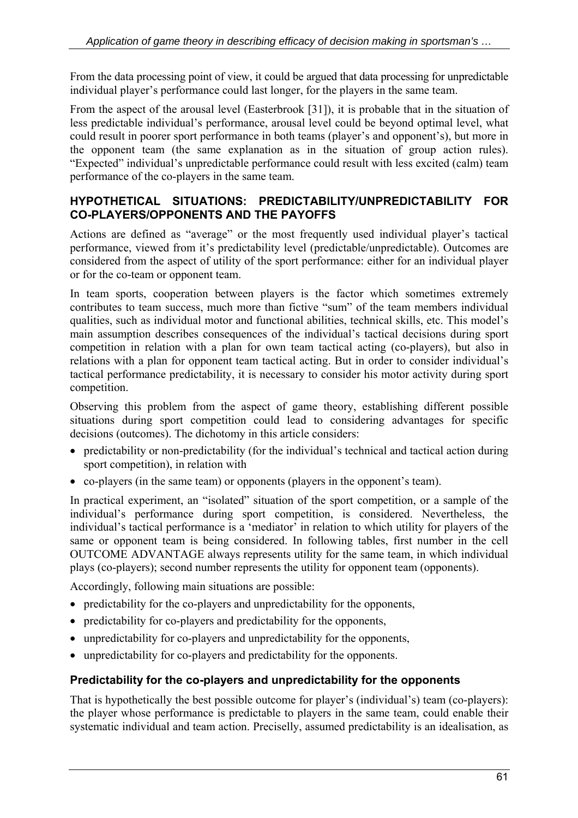From the data processing point of view, it could be argued that data processing for unpredictable individual player's performance could last longer, for the players in the same team.

From the aspect of the arousal level (Easterbrook [31]), it is probable that in the situation of less predictable individual's performance, arousal level could be beyond optimal level, what could result in poorer sport performance in both teams (player's and opponent's), but more in the opponent team (the same explanation as in the situation of group action rules). "Expected" individual's unpredictable performance could result with less excited (calm) team performance of the co-players in the same team.

#### **HYPOTHETICAL SITUATIONS: PREDICTABILITY/UNPREDICTABILITY FOR CO-PLAYERS/OPPONENTS AND THE PAYOFFS**

Actions are defined as "average" or the most frequently used individual player's tactical performance, viewed from it's predictability level (predictable/unpredictable). Outcomes are considered from the aspect of utility of the sport performance: either for an individual player or for the co-team or opponent team.

In team sports, cooperation between players is the factor which sometimes extremely contributes to team success, much more than fictive "sum" of the team members individual qualities, such as individual motor and functional abilities, technical skills, etc. This model's main assumption describes consequences of the individual's tactical decisions during sport competition in relation with a plan for own team tactical acting (co-players), but also in relations with a plan for opponent team tactical acting. But in order to consider individual's tactical performance predictability, it is necessary to consider his motor activity during sport competition.

Observing this problem from the aspect of game theory, establishing different possible situations during sport competition could lead to considering advantages for specific decisions (outcomes). The dichotomy in this article considers:

- predictability or non-predictability (for the individual's technical and tactical action during sport competition), in relation with
- co-players (in the same team) or opponents (players in the opponent's team).

In practical experiment, an "isolated" situation of the sport competition, or a sample of the individual's performance during sport competition, is considered. Nevertheless, the individual's tactical performance is a 'mediator' in relation to which utility for players of the same or opponent team is being considered. In following tables, first number in the cell OUTCOME ADVANTAGE always represents utility for the same team, in which individual plays (co-players); second number represents the utility for opponent team (opponents).

Accordingly, following main situations are possible:

- predictability for the co-players and unpredictability for the opponents,
- predictability for co-players and predictability for the opponents,
- unpredictability for co-players and unpredictability for the opponents,
- unpredictability for co-players and predictability for the opponents.

#### **Predictability for the co-players and unpredictability for the opponents**

That is hypothetically the best possible outcome for player's (individual's) team (co-players): the player whose performance is predictable to players in the same team, could enable their systematic individual and team action. Preciselly, assumed predictability is an idealisation, as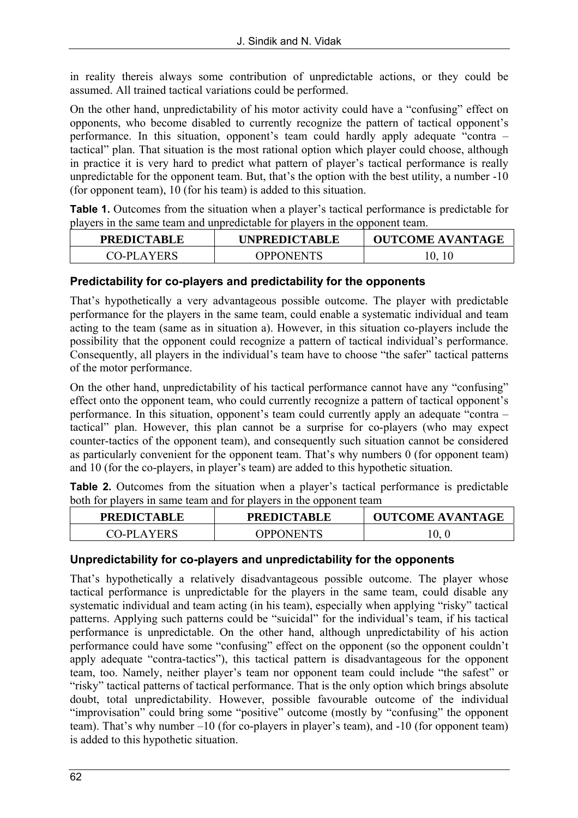in reality thereis always some contribution of unpredictable actions, or they could be assumed. All trained tactical variations could be performed.

On the other hand, unpredictability of his motor activity could have a "confusing" effect on opponents, who become disabled to currently recognize the pattern of tactical opponent's performance. In this situation, opponent's team could hardly apply adequate "contra – tactical" plan. That situation is the most rational option which player could choose, although in practice it is very hard to predict what pattern of player's tactical performance is really unpredictable for the opponent team. But, that's the option with the best utility, a number -10 (for opponent team), 10 (for his team) is added to this situation.

**Table 1.** Outcomes from the situation when a player's tactical performance is predictable for players in the same team and unpredictable for players in the opponent team.

| <b>PREDICTABLE</b> | <b>UNPREDICTABLE</b> | <b>OUTCOME AVANTAGE</b> |
|--------------------|----------------------|-------------------------|
| <b>CO-PLAYERS</b>  | <b>OPPONENTS</b>     | 10.                     |

#### **Predictability for co-players and predictability for the opponents**

That's hypothetically a very advantageous possible outcome. The player with predictable performance for the players in the same team, could enable a systematic individual and team acting to the team (same as in situation a). However, in this situation co-players include the possibility that the opponent could recognize a pattern of tactical individual's performance. Consequently, all players in the individual's team have to choose "the safer" tactical patterns of the motor performance.

On the other hand, unpredictability of his tactical performance cannot have any "confusing" effect onto the opponent team, who could currently recognize a pattern of tactical opponent's performance. In this situation, opponent's team could currently apply an adequate "contra – tactical" plan. However, this plan cannot be a surprise for co-players (who may expect counter-tactics of the opponent team), and consequently such situation cannot be considered as particularly convenient for the opponent team. That's why numbers 0 (for opponent team) and 10 (for the co-players, in player's team) are added to this hypothetic situation.

**Table 2.** Outcomes from the situation when a player's tactical performance is predictable both for players in same team and for players in the opponent team

| <b>PREDICTABLE</b> | <b>PREDICTABLE</b> | <b>OUTCOME AVANTAGE</b> |
|--------------------|--------------------|-------------------------|
| CO-PLAYERS         | OPPONENTS          |                         |

#### **Unpredictability for co-players and unpredictability for the opponents**

That's hypothetically a relatively disadvantageous possible outcome. The player whose tactical performance is unpredictable for the players in the same team, could disable any systematic individual and team acting (in his team), especially when applying "risky" tactical patterns. Applying such patterns could be "suicidal" for the individual's team, if his tactical performance is unpredictable. On the other hand, although unpredictability of his action performance could have some "confusing" effect on the opponent (so the opponent couldn't apply adequate "contra-tactics"), this tactical pattern is disadvantageous for the opponent team, too. Namely, neither player's team nor opponent team could include "the safest" or "risky" tactical patterns of tactical performance. That is the only option which brings absolute doubt, total unpredictability. However, possible favourable outcome of the individual "improvisation" could bring some "positive" outcome (mostly by "confusing" the opponent team). That's why number –10 (for co-players in player's team), and -10 (for opponent team) is added to this hypothetic situation.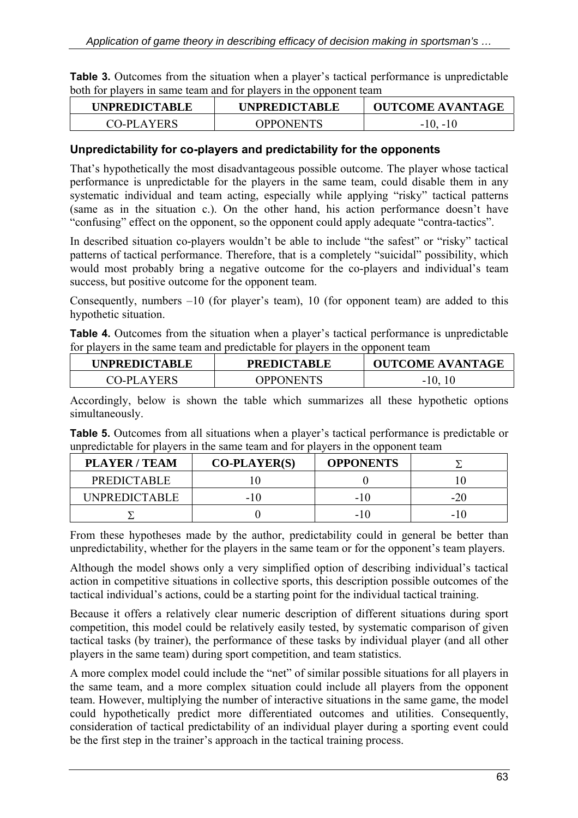|                                                                    |  |  | <b>Table 3.</b> Outcomes from the situation when a player's tactical performance is unpredictable |
|--------------------------------------------------------------------|--|--|---------------------------------------------------------------------------------------------------|
| both for players in same team and for players in the opponent team |  |  |                                                                                                   |

| <b>UNPREDICTABLE</b> | <b>UNPREDICTABLE</b> | <b>OUTCOME AVANTAGE</b> |
|----------------------|----------------------|-------------------------|
| CO-PLAYERS           | <b>OPPONENTS</b>     | $-10, -10$              |

#### **Unpredictability for co-players and predictability for the opponents**

That's hypothetically the most disadvantageous possible outcome. The player whose tactical performance is unpredictable for the players in the same team, could disable them in any systematic individual and team acting, especially while applying "risky" tactical patterns (same as in the situation c.). On the other hand, his action performance doesn't have "confusing" effect on the opponent, so the opponent could apply adequate "contra-tactics".

In described situation co-players wouldn't be able to include "the safest" or "risky" tactical patterns of tactical performance. Therefore, that is a completely "suicidal" possibility, which would most probably bring a negative outcome for the co-players and individual's team success, but positive outcome for the opponent team.

Consequently, numbers –10 (for player's team), 10 (for opponent team) are added to this hypothetic situation.

**Table 4.** Outcomes from the situation when a player's tactical performance is unpredictable for players in the same team and predictable for players in the opponent team

| <b>UNPREDICTABLE</b> | <b>PREDICTABLE</b> | <b>OUTCOME AVANTAGE</b> |
|----------------------|--------------------|-------------------------|
| CO-PLAYERS           | OPPONENTS          | $-10, 10$               |

Accordingly, below is shown the table which summarizes all these hypothetic options simultaneously.

**Table 5.** Outcomes from all situations when a player's tactical performance is predictable or unpredictable for players in the same team and for players in the opponent team

| <b>PLAYER / TEAM</b> | $CO-PLAYER(S)$ | <b>OPPONENTS</b> |       |
|----------------------|----------------|------------------|-------|
| <b>PREDICTABLE</b>   |                |                  |       |
| <b>UNPREDICTABLE</b> | - 1 0          | - 11             | $-20$ |
|                      |                | - 11             | $-10$ |

From these hypotheses made by the author, predictability could in general be better than unpredictability, whether for the players in the same team or for the opponent's team players.

Although the model shows only a very simplified option of describing individual's tactical action in competitive situations in collective sports, this description possible outcomes of the tactical individual's actions, could be a starting point for the individual tactical training.

Because it offers a relatively clear numeric description of different situations during sport competition, this model could be relatively easily tested, by systematic comparison of given tactical tasks (by trainer), the performance of these tasks by individual player (and all other players in the same team) during sport competition, and team statistics.

A more complex model could include the "net" of similar possible situations for all players in the same team, and a more complex situation could include all players from the opponent team. However, multiplying the number of interactive situations in the same game, the model could hypothetically predict more differentiated outcomes and utilities. Consequently, consideration of tactical predictability of an individual player during a sporting event could be the first step in the trainer's approach in the tactical training process.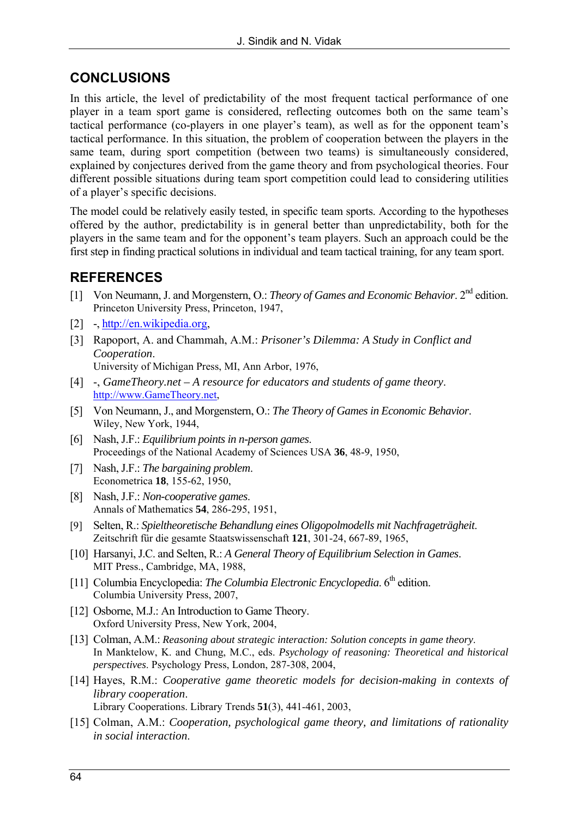# **CONCLUSIONS**

In this article, the level of predictability of the most frequent tactical performance of one player in a team sport game is considered, reflecting outcomes both on the same team's tactical performance (co-players in one player's team), as well as for the opponent team's tactical performance. In this situation, the problem of cooperation between the players in the same team, during sport competition (between two teams) is simultaneously considered, explained by conjectures derived from the game theory and from psychological theories. Four different possible situations during team sport competition could lead to considering utilities of a player's specific decisions.

The model could be relatively easily tested, in specific team sports. According to the hypotheses offered by the author, predictability is in general better than unpredictability, both for the players in the same team and for the opponent's team players. Such an approach could be the first step in finding practical solutions in individual and team tactical training, for any team sport.

## **REFERENCES**

- [1] Von Neumann, J. and Morgenstern, O.: *Theory of Games and Economic Behavior*. 2nd edition. Princeton University Press, Princeton, 1947,
- [2] -, [http://en.wikipedia.org,](http://en.wikipedia.org)
- [3] Rapoport, A. and Chammah, A.M.: *Prisoner's Dilemma: A Study in Conflict and Cooperation*. University of Michigan Press, MI, Ann Arbor, 1976,
- [4] -, *GameTheory.net A resource for educators and students of game theory*. [http://www.GameTheory.net,](http://www.GameTheory.net)
- [5] Von Neumann, J., and Morgenstern, O.: *The Theory of Games in Economic Behavior*. Wiley, New York, 1944,
- [6] Nash, J.F.: *Equilibrium points in n-person games*. Proceedings of the National Academy of Sciences USA **36**, 48-9, 1950,
- [7] Nash, J.F.: *The bargaining problem*. Econometrica **18**, 155-62, 1950,
- [8] Nash, J.F.: *Non-cooperative games*. Annals of Mathematics **54**, 286-295, 1951,
- [9] Selten, R.: *Spieltheoretische Behandlung eines Oligopolmodells mit Nachfrageträgheit*. Zeitschrift für die gesamte Staatswissenschaft **121**, 301-24, 667-89, 1965,
- [10] Harsanyi, J.C. and Selten, R.: *A General Theory of Equilibrium Selection in Games*. MIT Press., Cambridge, MA, 1988,
- [11] Columbia Encyclopedia: *The Columbia Electronic Encyclopedia*. 6<sup>th</sup> edition. Columbia University Press, 2007,
- [12] Osborne, M.J.: An Introduction to Game Theory. Oxford University Press, New York, 2004,
- [13] Colman, A.M.: *Reasoning about strategic interaction: Solution concepts in game theory*. In Manktelow, K. and Chung, M.C., eds. *Psychology of reasoning: Theoretical and historical perspectives*. Psychology Press, London, 287-308, 2004,
- [14] Hayes, R.M.: *Cooperative game theoretic models for decision-making in contexts of library cooperation*. Library Cooperations. Library Trends **51**(3), 441-461, 2003,
- [15] Colman, A.M.: *Cooperation, psychological game theory, and limitations of rationality in social interaction*.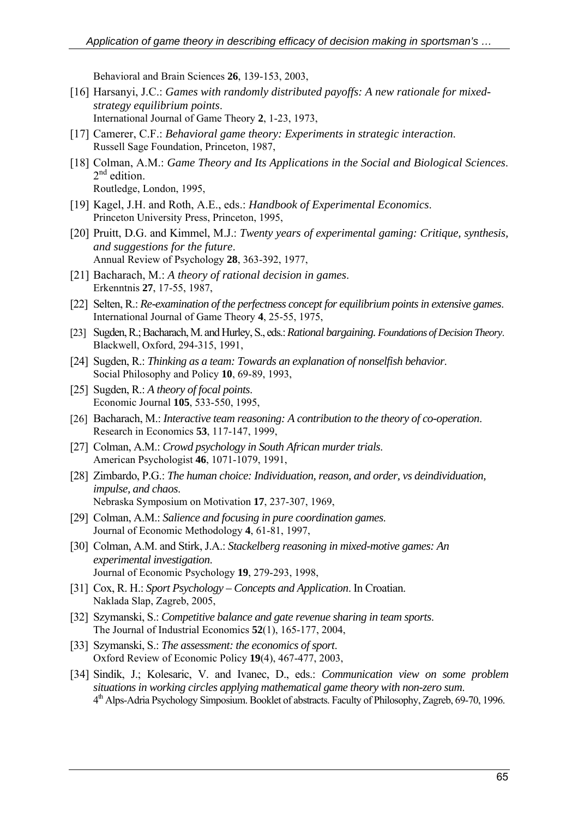Behavioral and Brain Sciences **26**, 139-153, 2003,

- [16] Harsanyi, J.C.: Games with randomly distributed payoffs: A new rationale for mixed*strategy equilibrium points*. International Journal of Game Theory **2**, 1-23, 1973,
- [17] Camerer, C.F.: *Behavioral game theory: Experiments in strategic interaction*. Russell Sage Foundation, Princeton, 1987,
- [18] Colman, A.M.: *Game Theory and Its Applications in the Social and Biological Sciences*.  $2<sup>nd</sup>$  edition. Routledge, London, 1995,
- [19] Kagel, J.H. and Roth, A.E., eds.: *Handbook of Experimental Economics*. Princeton University Press, Princeton, 1995,
- [20] Pruitt, D.G. and Kimmel, M.J.: *Twenty years of experimental gaming: Critique, synthesis, and suggestions for the future*. Annual Review of Psychology **28**, 363-392, 1977,
- [21] Bacharach, M.: *A theory of rational decision in games*. Erkenntnis **27**, 17-55, 1987,
- [22] Selten, R.: *Re-examination of the perfectness concept for equilibrium points in extensive games*. International Journal of Game Theory **4**, 25-55, 1975,
- [23] Sugden, R.; Bacharach, M. and Hurley, S., eds.: *Rational bargaining. Foundations of Decision Theory*. Blackwell, Oxford, 294-315, 1991,
- [24] Sugden, R.: *Thinking as a team: Towards an explanation of nonselfish behavior*. Social Philosophy and Policy **10**, 69-89, 1993,
- [25] Sugden, R.: *A theory of focal points*. Economic Journal **105**, 533-550, 1995,
- [26] Bacharach, M.: *Interactive team reasoning: A contribution to the theory of co-operation*. Research in Economics **53**, 117-147, 1999,
- [27] Colman, A.M.: *Crowd psychology in South African murder trials*. American Psychologist **46**, 1071-1079, 1991,
- [28] Zimbardo, P.G.: *The human choice: Individuation, reason, and order, vs deindividuation, impulse, and chaos*. Nebraska Symposium on Motivation **17**, 237-307, 1969,
- [29] Colman, A.M.: *Salience and focusing in pure coordination games*. Journal of Economic Methodology **4**, 61-81, 1997,
- [30] Colman, A.M. and Stirk, J.A.: *Stackelberg reasoning in mixed-motive games: An experimental investigation*. Journal of Economic Psychology **19**, 279-293, 1998,
- [31] Cox, R. H.: *Sport Psychology Concepts and Application*. In Croatian. Naklada Slap, Zagreb, 2005,
- [32] Szymanski, S.: *Competitive balance and gate revenue sharing in team sports*. The Journal of Industrial Economics **52**(1), 165-177, 2004,
- [33] Szymanski, S.: *The assessment: the economics of sport*. Oxford Review of Economic Policy **19**(4), 467-477, 2003,
- [34] Sindik, J.; Kolesaric, V. and Ivanec, D., eds.: *Communication view on some problem situations in working circles applying mathematical game theory with non-zero sum*. 4th Alps-Adria Psychology Simposium. Booklet of abstracts. Faculty of Philosophy, Zagreb, 69-70, 1996.